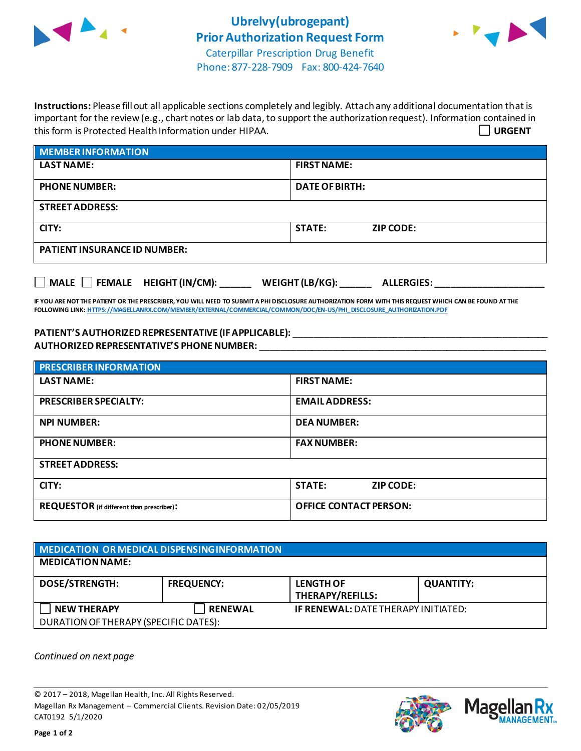



Phone: 877-228-7909 Fax: 800-424-7640

**Instructions:** Please fill out all applicable sections completely and legibly. Attach any additional documentation that is important for the review (e.g., chart notes or lab data, to support the authorization request). Information contained in this form is Protected Health Information under HIPAA. **URGENT**

| <b>MEMBER INFORMATION</b>           |                                   |  |  |
|-------------------------------------|-----------------------------------|--|--|
| <b>LAST NAME:</b>                   | <b>FIRST NAME:</b>                |  |  |
| <b>PHONE NUMBER:</b>                | <b>DATE OF BIRTH:</b>             |  |  |
| <b>STREET ADDRESS:</b>              |                                   |  |  |
| CITY:                               | <b>STATE:</b><br><b>ZIP CODE:</b> |  |  |
| <b>PATIENT INSURANCE ID NUMBER:</b> |                                   |  |  |
|                                     |                                   |  |  |

**IF YOU ARE NOT THE PATIENT OR THE PRESCRIBER, YOU WILL NEED TO SUBMIT A PHI DISCLOSURE AUTHORIZATION FORM WITH THIS REQUEST WHICH CAN BE FOUND AT THE FOLLOWING LINK[: HTTPS://MAGELLANRX.COM/MEMBER/EXTERNAL/COMMERCIAL/COMMON/DOC/EN-US/PHI\\_DISCLOSURE\\_AUTHORIZATION.PDF](https://magellanrx.com/member/external/commercial/common/doc/en-us/PHI_Disclosure_Authorization.pdf)**

**MALE FEMALE HEIGHT (IN/CM): \_\_\_\_\_\_ WEIGHT (LB/KG): \_\_\_\_\_\_ ALLERGIES: \_\_\_\_\_\_\_\_\_\_\_\_\_\_\_\_\_\_\_\_\_**

**PATIENT'S AUTHORIZEDREPRESENTATIVE (IF APPLICABLE):** \_\_\_\_\_\_\_\_\_\_\_\_\_\_\_\_\_\_\_\_\_\_\_\_\_\_\_\_\_\_\_\_\_\_\_\_\_\_\_\_\_\_\_\_\_\_\_\_\_ **AUTHORIZED REPRESENTATIVE'S PHONE NUMBER:** \_\_\_\_\_\_\_\_\_\_\_\_\_\_\_\_\_\_\_\_\_\_\_\_\_\_\_\_\_\_\_\_\_\_\_\_\_\_\_\_\_\_\_\_\_\_\_\_\_\_\_\_\_\_\_

| <b>PRESCRIBER INFORMATION</b>                    |                               |  |  |  |
|--------------------------------------------------|-------------------------------|--|--|--|
| <b>LAST NAME:</b>                                | <b>FIRST NAME:</b>            |  |  |  |
| <b>PRESCRIBER SPECIALTY:</b>                     | <b>EMAIL ADDRESS:</b>         |  |  |  |
| <b>NPI NUMBER:</b>                               | <b>DEA NUMBER:</b>            |  |  |  |
| <b>PHONE NUMBER:</b>                             | <b>FAX NUMBER:</b>            |  |  |  |
| <b>STREET ADDRESS:</b>                           |                               |  |  |  |
| CITY:                                            | <b>STATE:</b><br>ZIP CODE:    |  |  |  |
| <b>REQUESTOR</b> (if different than prescriber): | <b>OFFICE CONTACT PERSON:</b> |  |  |  |

| MEDICATION OR MEDICAL DISPENSING INFORMATION |                   |                                             |                  |  |  |
|----------------------------------------------|-------------------|---------------------------------------------|------------------|--|--|
| <b>MEDICATION NAME:</b>                      |                   |                                             |                  |  |  |
| <b>DOSE/STRENGTH:</b>                        | <b>FREQUENCY:</b> | <b>LENGTH OF</b><br><b>THERAPY/REFILLS:</b> | <b>QUANTITY:</b> |  |  |
| <b>NEW THERAPY</b>                           | <b>RENEWAL</b>    | <b>IF RENEWAL: DATE THERAPY INITIATED:</b>  |                  |  |  |
| DURATION OF THERAPY (SPECIFIC DATES):        |                   |                                             |                  |  |  |

*Continued on next page*

© 2017 – 2018, Magellan Health, Inc. All Rights Reserved. Magellan Rx Management – Commercial Clients. Revision Date: 02/05/2019 CAT0192 5/1/2020